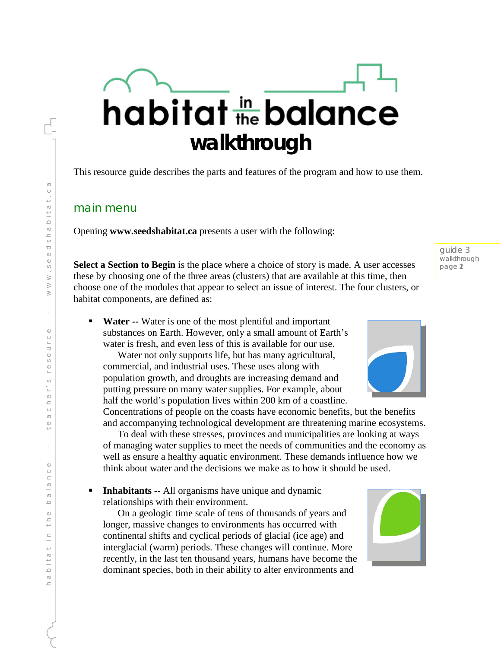# habitat the balance **walkthrough**

This resource guide describes the parts and features of the program and how to use them.

### main menu

Opening **www.seedshabitat.ca** presents a user with the following:

**Select a Section to Begin** is the place where a choice of story is made. A user accesses these by choosing one of the three areas (clusters) that are available at this time, then choose one of the modules that appear to select an issue of interest. The four clusters, or habitat components, are defined as:

 **Water --** Water is one of the most plentiful and important substances on Earth. However, only a small amount of Earth's water is fresh, and even less of this is available for our use.

Water not only supports life, but has many agricultural, commercial, and industrial uses. These uses along with population growth, and droughts are increasing demand and putting pressure on many water supplies. For example, about half the world's population lives within 200 km of a coastline.

Concentrations of people on the coasts have economic benefits, but the benefits and accompanying technological development are threatening marine ecosystems.

To deal with these stresses, provinces and municipalities are looking at ways of managing water supplies to meet the needs of communities and the economy as well as ensure a healthy aquatic environment. These demands influence how we think about water and the decisions we make as to how it should be used.

**Inhabitants --** All organisms have unique and dynamic relationships with their environment.

On a geologic time scale of tens of thousands of years and longer, massive changes to environments has occurred with continental shifts and cyclical periods of glacial (ice age) and interglacial (warm) periods. These changes will continue. More recently, in the last ten thousand years, humans have become the dominant species, both in their ability to alter environments and



guide 3 walkthrough page 1 2

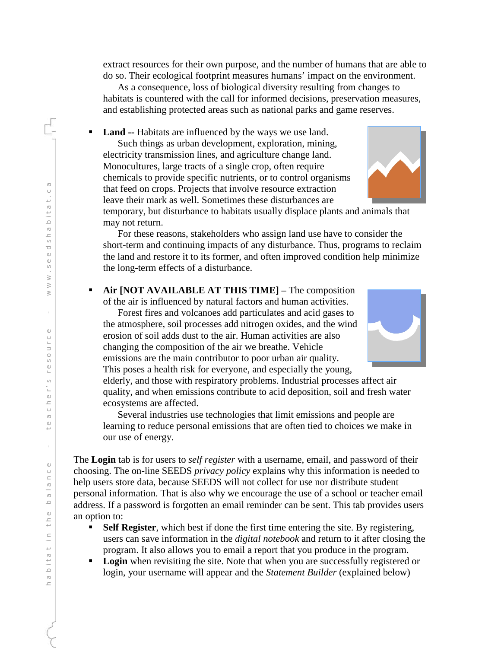extract resources for their own purpose, and the number of humans that are able to do so. Their ecological footprint measures humans' impact on the environment.

As a consequence, loss of biological diversity resulting from changes to habitats is countered with the call for informed decisions, preservation measures, and establishing protected areas such as national parks and game reserves.

**Land --** Habitats are influenced by the ways we use land. Such things as urban development, exploration, mining, electricity transmission lines, and agriculture change land. Monocultures, large tracts of a single crop, often require chemicals to provide specific nutrients, or to control organisms that feed on crops. Projects that involve resource extraction leave their mark as well. Sometimes these disturbances are

temporary, but disturbance to habitats usually displace plants and animals that may not return.

For these reasons, stakeholders who assign land use have to consider the short-term and continuing impacts of any disturbance. Thus, programs to reclaim the land and restore it to its former, and often improved condition help minimize the long-term effects of a disturbance.

 **Air [NOT AVAILABLE AT THIS TIME] –** The composition of the air is influenced by natural factors and human activities.

Forest fires and volcanoes add particulates and acid gases to the atmosphere, soil processes add nitrogen oxides, and the wind erosion of soil adds dust to the air. Human activities are also changing the composition of the air we breathe. Vehicle emissions are the main contributor to poor urban air quality. This poses a health risk for everyone, and especially the young,

elderly, and those with respiratory problems. Industrial processes affect air quality, and when emissions contribute to acid deposition, soil and fresh water ecosystems are affected.

Several industries use technologies that limit emissions and people are learning to reduce personal emissions that are often tied to choices we make in our use of energy.

The **Login** tab is for users to *self register* with a username, email, and password of their choosing. The on-line SEEDS *privacy policy* explains why this information is needed to help users store data, because SEEDS will not collect for use nor distribute student personal information. That is also why we encourage the use of a school or teacher email address. If a password is forgotten an email reminder can be sent. This tab provides users an option to:

- **Self Register**, which best if done the first time entering the site. By registering, users can save information in the *digital notebook* and return to it after closing the program. It also allows you to email a report that you produce in the program.
- **Login** when revisiting the site. Note that when you are successfully registered or login, your username will appear and the *Statement Builder* (explained below)



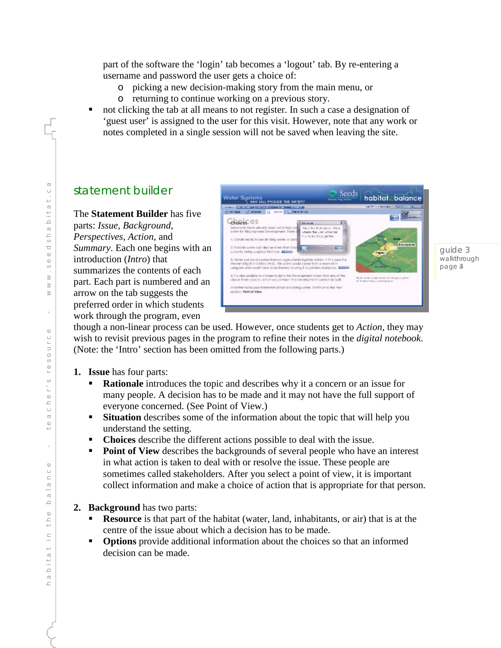part of the software the 'login' tab becomes a 'logout' tab. By re-entering a username and password the user gets a choice of:

- o picking a new decision-making story from the main menu, or
- o returning to continue working on a previous story.
- not clicking the tab at all means to not register. In such a case a designation of 'guest user' is assigned to the user for this visit. However, note that any work or notes completed in a single session will not be saved when leaving the site.

## statement builder

The **Statement Builder** has five parts: *Issue*, *Background*, *Perspectives*, *Action*, and *Summary*. Each one begins with an introduction (*Intro*) that summarizes the contents of each part. Each part is numbered and an arrow on the tab suggests the preferred order in which students work through the program, even



guide 3 walkthrough page 3 4

though a non-linear process can be used. However, once students get to *Action*, they may wish to revisit previous pages in the program to refine their notes in the *digital notebook*. (Note: the 'Intro' section has been omitted from the following parts.)

- **1. Issue** has four parts:
	- **Rationale** introduces the topic and describes why it a concern or an issue for many people. A decision has to be made and it may not have the full support of everyone concerned. (See Point of View.)
	- **Situation** describes some of the information about the topic that will help you understand the setting.
	- **Choices** describe the different actions possible to deal with the issue.
	- **Point of View** describes the backgrounds of several people who have an interest in what action is taken to deal with or resolve the issue. These people are sometimes called stakeholders. After you select a point of view, it is important collect information and make a choice of action that is appropriate for that person.
- **2. Background** has two parts:
	- **Resource** is that part of the habitat (water, land, inhabitants, or air) that is at the centre of the issue about which a decision has to be made.
	- **Options** provide additional information about the choices so that an informed decision can be made.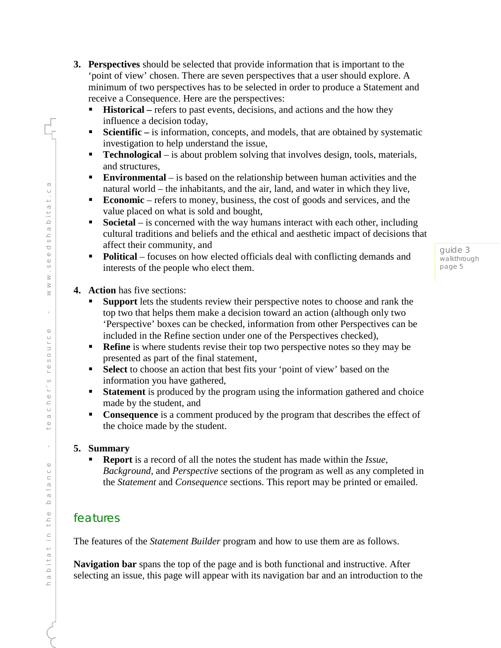- **3. Perspectives** should be selected that provide information that is important to the 'point of view' chosen. There are seven perspectives that a user should explore. A minimum of two perspectives has to be selected in order to produce a Statement and receive a Consequence. Here are the perspectives:
	- **Historical** refers to past events, decisions, and actions and the how they influence a decision today,
	- **Scientific** is information, concepts, and models, that are obtained by systematic investigation to help understand the issue,
	- **Technological** is about problem solving that involves design, tools, materials, and structures,
	- **Environmental** is based on the relationship between human activities and the natural world – the inhabitants, and the air, land, and water in which they live,
	- **Economic** refers to money, business, the cost of goods and services, and the value placed on what is sold and bought,
	- **Societal** is concerned with the way humans interact with each other, including cultural traditions and beliefs and the ethical and aesthetic impact of decisions that affect their community, and
	- **Political** focuses on how elected officials deal with conflicting demands and interests of the people who elect them.
- **4. Action** has five sections:
	- **Support** lets the students review their perspective notes to choose and rank the top two that helps them make a decision toward an action (although only two 'Perspective' boxes can be checked, information from other Perspectives can be included in the Refine section under one of the Perspectives checked),
	- **Refine** is where students revise their top two perspective notes so they may be presented as part of the final statement,
	- **Select** to choose an action that best fits your 'point of view' based on the information you have gathered,
	- **Statement** is produced by the program using the information gathered and choice made by the student, and
	- **Consequence** is a comment produced by the program that describes the effect of the choice made by the student.

### **5. Summary**

 **Report** is a record of all the notes the student has made within the *Issue*, *Background*, and *Perspective* sections of the program as well as any completed in the *Statement* and *Consequence* sections. This report may be printed or emailed.

## features

The features of the *Statement Builder* program and how to use them are as follows.

**Navigation bar** spans the top of the page and is both functional and instructive. After selecting an issue, this page will appear with its navigation bar and an introduction to the

 $\sigma$ habitat in the balance - teacher's resource - www.seedshabitat.ca $\cup$  $\overline{\bigcirc}$  $D$  i t a  $\overline{\mathbb{O}}$  $\overline{\phantom{a}}$  $\frac{1}{2}$  $\mathbb O$  $\mathbb O$  $\circlearrowleft$  $\geq$  $\geq$  $\geq$  $\bar{1}$  $\mathbb O$  $\cup$ INOS9  $\begin{array}{c} 0.100 \\ 0.000 \\ \end{array}$  $\overline{\phantom{a}}$  $\bigcirc$  $\bigcirc$  $\mathbb O$  $\overline{\phantom{0}}$  $\bar{\rm r}$  $\mathbb O$  $\circlearrowright$ u e l e  $\supseteq$  $\mathbb O$  $\frac{\Box}{\Box}$  $111B$  $\frac{1}{2}$  $\overline{\mathbb{O}}$  $\overline{\mathbb{C}}$ 

guide 3 walkthrough page 5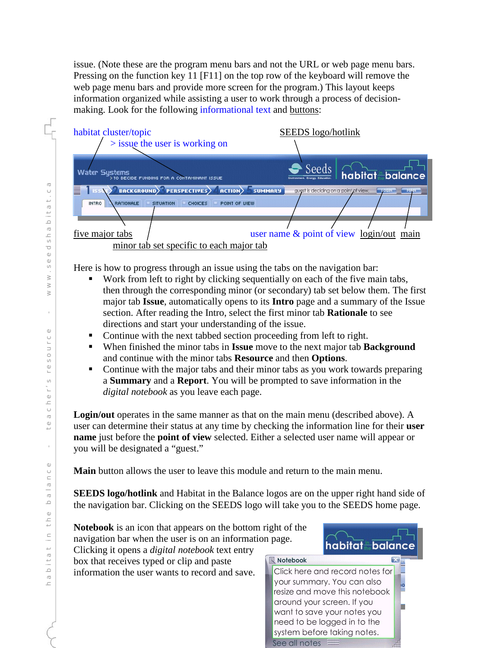issue. (Note these are the program menu bars and not the URL or web page menu bars. Pressing on the function key 11 [F11] on the top row of the keyboard will remove the web page menu bars and provide more screen for the program.) This layout keeps information organized while assisting a user to work through a process of decisionmaking. Look for the following informational text and buttons:



Here is how to progress through an issue using the tabs on the navigation bar:

- Work from left to right by clicking sequentially on each of the five main tabs, then through the corresponding minor (or secondary) tab set below them. The first major tab **Issue**, automatically opens to its **Intro** page and a summary of the Issue section. After reading the Intro, select the first minor tab **Rationale** to see directions and start your understanding of the issue.
- Continue with the next tabbed section proceeding from left to right.
- When finished the minor tabs in **Issue** move to the next major tab **Background** and continue with the minor tabs **Resource** and then **Options**.
- Continue with the major tabs and their minor tabs as you work towards preparing a **Summary** and a **Report**. You will be prompted to save information in the *digital notebook* as you leave each page.

**Login/out** operates in the same manner as that on the main menu (described above). A user can determine their status at any time by checking the information line for their **user name** just before the **point of view** selected. Either a selected user name will appear or you will be designated a "guest."

**Main** button allows the user to leave this module and return to the main menu.

**SEEDS logo/hotlink** and Habitat in the Balance logos are on the upper right hand side of the navigation bar. Clicking on the SEEDS logo will take you to the SEEDS home page.



 $\overline{C}$ habitat in the balance - teacher's resource - www.seedshabitat.ca $\cup$  $\overline{\phantom{0}}$  $\heartsuit$  $\frac{1}{2}$  $\overline{\mathbb{O}}$  $\begin{array}{c} 1 & 0 \\ 0 & 0 \end{array}$  $\mathbbm{O}$  $\mathbb O$  $\circ$  $\geq$  $\geq$  $\geq$  $\bar{1}$  $\circledcirc$  $\cup$  $\frac{1}{\Box}$  $O<sub>0</sub>$  $\overline{\phantom{0}}$  $C h \in I' S$  $\bigcirc$  $\mathbb O$  $\overline{\phantom{0}}$ ÷.  $\mathbb O$  $\circlearrowright$  $\cup$  $\cup$  $\supseteq$  $\mathbb O$  $\frac{\Box}{\Box}$  $\equiv$  $\frac{1}{\omega}$  $\frac{1}{2}$  $\overline{\mathbb{O}}$  $\overline{\mathbb{C}}$